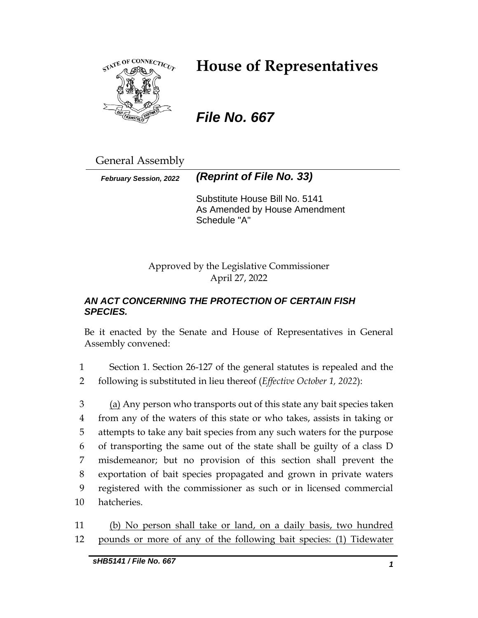

# **House of Representatives**

## *File No. 667*

General Assembly

*February Session, 2022 (Reprint of File No. 33)*

Substitute House Bill No. 5141 As Amended by House Amendment Schedule "A"

Approved by the Legislative Commissioner April 27, 2022

## *AN ACT CONCERNING THE PROTECTION OF CERTAIN FISH SPECIES.*

Be it enacted by the Senate and House of Representatives in General Assembly convened:

1 Section 1. Section 26-127 of the general statutes is repealed and the 2 following is substituted in lieu thereof (*Effective October 1, 2022*):

3 (a) Any person who transports out of this state any bait species taken from any of the waters of this state or who takes, assists in taking or attempts to take any bait species from any such waters for the purpose of transporting the same out of the state shall be guilty of a class D misdemeanor; but no provision of this section shall prevent the exportation of bait species propagated and grown in private waters registered with the commissioner as such or in licensed commercial hatcheries.

11 (b) No person shall take or land, on a daily basis, two hundred 12 pounds or more of any of the following bait species: (1) Tidewater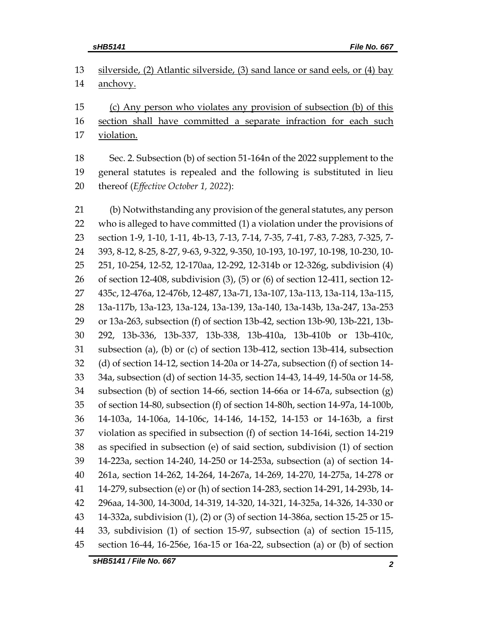| 13 silverside, (2) Atlantic silverside, (3) sand lance or sand eels, or (4) bay |
|---------------------------------------------------------------------------------|
| 14 <u>anchovy.</u>                                                              |
| 15 (c) Any person who violates any provision of subsection (b) of this          |
| 16 section shall have committed a separate infraction for each such             |

violation.

 Sec. 2. Subsection (b) of section 51-164n of the 2022 supplement to the general statutes is repealed and the following is substituted in lieu thereof (*Effective October 1, 2022*):

 (b) Notwithstanding any provision of the general statutes, any person who is alleged to have committed (1) a violation under the provisions of section 1-9, 1-10, 1-11, 4b-13, 7-13, 7-14, 7-35, 7-41, 7-83, 7-283, 7-325, 7- 393, 8-12, 8-25, 8-27, 9-63, 9-322, 9-350, 10-193, 10-197, 10-198, 10-230, 10- 251, 10-254, 12-52, 12-170aa, 12-292, 12-314b or 12-326g, subdivision (4) of section 12-408, subdivision (3), (5) or (6) of section 12-411, section 12- 435c, 12-476a, 12-476b, 12-487, 13a-71, 13a-107, 13a-113, 13a-114, 13a-115, 13a-117b, 13a-123, 13a-124, 13a-139, 13a-140, 13a-143b, 13a-247, 13a-253 or 13a-263, subsection (f) of section 13b-42, section 13b-90, 13b-221, 13b- 292, 13b-336, 13b-337, 13b-338, 13b-410a, 13b-410b or 13b-410c, subsection (a), (b) or (c) of section 13b-412, section 13b-414, subsection (d) of section 14-12, section 14-20a or 14-27a, subsection (f) of section 14- 34a, subsection (d) of section 14-35, section 14-43, 14-49, 14-50a or 14-58, subsection (b) of section 14-66, section 14-66a or 14-67a, subsection (g) of section 14-80, subsection (f) of section 14-80h, section 14-97a, 14-100b, 14-103a, 14-106a, 14-106c, 14-146, 14-152, 14-153 or 14-163b, a first violation as specified in subsection (f) of section 14-164i, section 14-219 as specified in subsection (e) of said section, subdivision (1) of section 14-223a, section 14-240, 14-250 or 14-253a, subsection (a) of section 14- 261a, section 14-262, 14-264, 14-267a, 14-269, 14-270, 14-275a, 14-278 or 14-279, subsection (e) or (h) of section 14-283, section 14-291, 14-293b, 14- 296aa, 14-300, 14-300d, 14-319, 14-320, 14-321, 14-325a, 14-326, 14-330 or 14-332a, subdivision (1), (2) or (3) of section 14-386a, section 15-25 or 15- 33, subdivision (1) of section 15-97, subsection (a) of section 15-115, section 16-44, 16-256e, 16a-15 or 16a-22, subsection (a) or (b) of section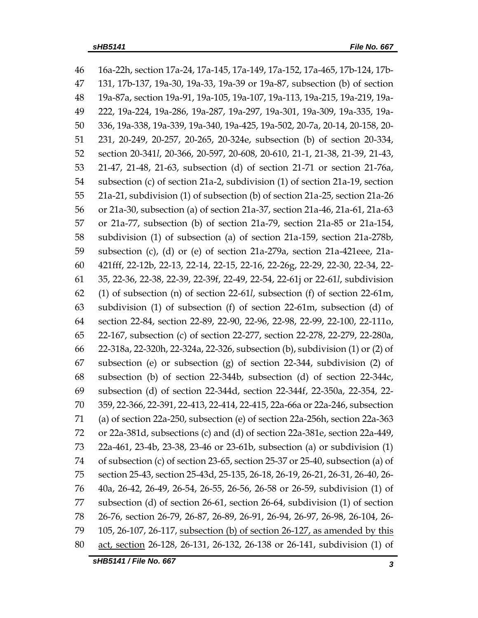| 46 | 16a-22h, section 17a-24, 17a-145, 17a-149, 17a-152, 17a-465, 17b-124, 17b-       |  |  |
|----|----------------------------------------------------------------------------------|--|--|
| 47 | 131, 17b-137, 19a-30, 19a-33, 19a-39 or 19a-87, subsection (b) of section        |  |  |
| 48 | 19a-87a, section 19a-91, 19a-105, 19a-107, 19a-113, 19a-215, 19a-219, 19a-       |  |  |
| 49 | 222, 19a-224, 19a-286, 19a-287, 19a-297, 19a-301, 19a-309, 19a-335, 19a-         |  |  |
| 50 | 336, 19a-338, 19a-339, 19a-340, 19a-425, 19a-502, 20-7a, 20-14, 20-158, 20-      |  |  |
| 51 | 231, 20-249, 20-257, 20-265, 20-324e, subsection (b) of section 20-334,          |  |  |
| 52 | section 20-341l, 20-366, 20-597, 20-608, 20-610, 21-1, 21-38, 21-39, 21-43,      |  |  |
| 53 | 21-47, 21-48, 21-63, subsection (d) of section 21-71 or section 21-76a,          |  |  |
| 54 | subsection (c) of section 21a-2, subdivision (1) of section 21a-19, section      |  |  |
| 55 | 21a-21, subdivision (1) of subsection (b) of section 21a-25, section 21a-26      |  |  |
| 56 | or 21a-30, subsection (a) of section 21a-37, section 21a-46, 21a-61, 21a-63      |  |  |
| 57 | or 21a-77, subsection (b) of section 21a-79, section 21a-85 or 21a-154,          |  |  |
| 58 | subdivision (1) of subsection (a) of section 21a-159, section 21a-278b,          |  |  |
| 59 | subsection (c), (d) or (e) of section 21a-279a, section 21a-421eee, 21a-         |  |  |
| 60 | 421fff, 22-12b, 22-13, 22-14, 22-15, 22-16, 22-26g, 22-29, 22-30, 22-34, 22-     |  |  |
| 61 | 35, 22-36, 22-38, 22-39, 22-39f, 22-49, 22-54, 22-61j or 22-61l, subdivision     |  |  |
| 62 | (1) of subsection (n) of section $22-61l$ , subsection (f) of section $22-61m$ , |  |  |
| 63 | subdivision (1) of subsection (f) of section 22-61m, subsection (d) of           |  |  |
| 64 | section 22-84, section 22-89, 22-90, 22-96, 22-98, 22-99, 22-100, 22-111o,       |  |  |
| 65 | 22-167, subsection (c) of section 22-277, section 22-278, 22-279, 22-280a,       |  |  |
| 66 | 22-318a, 22-320h, 22-324a, 22-326, subsection (b), subdivision (1) or (2) of     |  |  |
| 67 | subsection (e) or subsection (g) of section 22-344, subdivision (2) of           |  |  |
| 68 | subsection (b) of section 22-344b, subsection (d) of section 22-344c,            |  |  |
| 69 | subsection (d) of section 22-344d, section 22-344f, 22-350a, 22-354, 22-         |  |  |
| 70 | 359, 22-366, 22-391, 22-413, 22-414, 22-415, 22a-66a or 22a-246, subsection      |  |  |
| 71 | (a) of section 22a-250, subsection (e) of section 22a-256h, section 22a-363      |  |  |
| 72 | or 22a-381d, subsections (c) and (d) of section 22a-381e, section 22a-449,       |  |  |
| 73 | 22a-461, 23-4b, 23-38, 23-46 or 23-61b, subsection (a) or subdivision (1)        |  |  |
| 74 | of subsection (c) of section 23-65, section 25-37 or 25-40, subsection (a) of    |  |  |
| 75 | section 25-43, section 25-43d, 25-135, 26-18, 26-19, 26-21, 26-31, 26-40, 26-    |  |  |
| 76 | 40a, 26-42, 26-49, 26-54, 26-55, 26-56, 26-58 or 26-59, subdivision (1) of       |  |  |
| 77 | subsection (d) of section 26-61, section 26-64, subdivision (1) of section       |  |  |
| 78 | 26-76, section 26-79, 26-87, 26-89, 26-91, 26-94, 26-97, 26-98, 26-104, 26-      |  |  |
| 79 | 105, 26-107, 26-117, subsection (b) of section 26-127, as amended by this        |  |  |
| 80 | act, section 26-128, 26-131, 26-132, 26-138 or 26-141, subdivision (1) of        |  |  |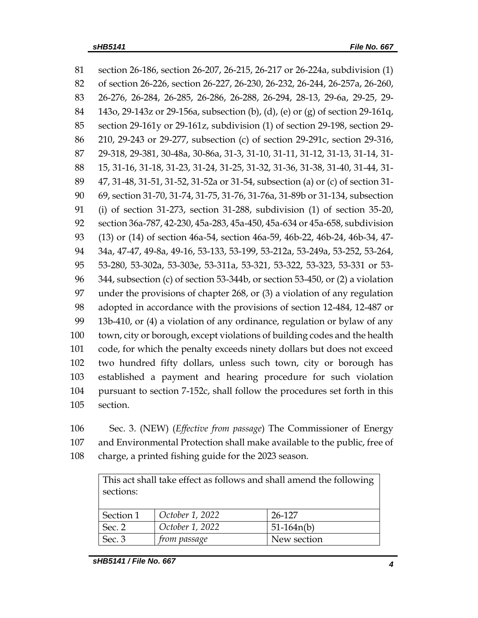section 26-186, section 26-207, 26-215, 26-217 or 26-224a, subdivision (1) of section 26-226, section 26-227, 26-230, 26-232, 26-244, 26-257a, 26-260, 26-276, 26-284, 26-285, 26-286, 26-288, 26-294, 28-13, 29-6a, 29-25, 29- 143o, 29-143z or 29-156a, subsection (b), (d), (e) or (g) of section 29-161q, section 29-161y or 29-161z, subdivision (1) of section 29-198, section 29- 210, 29-243 or 29-277, subsection (c) of section 29-291c, section 29-316, 29-318, 29-381, 30-48a, 30-86a, 31-3, 31-10, 31-11, 31-12, 31-13, 31-14, 31- 15, 31-16, 31-18, 31-23, 31-24, 31-25, 31-32, 31-36, 31-38, 31-40, 31-44, 31- 47, 31-48, 31-51, 31-52, 31-52a or 31-54, subsection (a) or (c) of section 31- 69, section 31-70, 31-74, 31-75, 31-76, 31-76a, 31-89b or 31-134, subsection (i) of section 31-273, section 31-288, subdivision (1) of section 35-20, section 36a-787, 42-230, 45a-283, 45a-450, 45a-634 or 45a-658, subdivision (13) or (14) of section 46a-54, section 46a-59, 46b-22, 46b-24, 46b-34, 47- 34a, 47-47, 49-8a, 49-16, 53-133, 53-199, 53-212a, 53-249a, 53-252, 53-264, 53-280, 53-302a, 53-303e, 53-311a, 53-321, 53-322, 53-323, 53-331 or 53- 344, subsection (c) of section 53-344b, or section 53-450, or (2) a violation under the provisions of chapter 268, or (3) a violation of any regulation adopted in accordance with the provisions of section 12-484, 12-487 or 13b-410, or (4) a violation of any ordinance, regulation or bylaw of any town, city or borough, except violations of building codes and the health code, for which the penalty exceeds ninety dollars but does not exceed two hundred fifty dollars, unless such town, city or borough has established a payment and hearing procedure for such violation pursuant to section 7-152c, shall follow the procedures set forth in this section.

 Sec. 3. (NEW) (*Effective from passage*) The Commissioner of Energy and Environmental Protection shall make available to the public, free of charge, a printed fishing guide for the 2023 season.

| This act shall take effect as follows and shall amend the following<br>sections: |                 |              |  |  |  |
|----------------------------------------------------------------------------------|-----------------|--------------|--|--|--|
| Section 1                                                                        | October 1, 2022 | 26-127       |  |  |  |
| Sec. 2                                                                           | October 1, 2022 | $51-164n(b)$ |  |  |  |
| Sec. 3                                                                           | from passage    | New section  |  |  |  |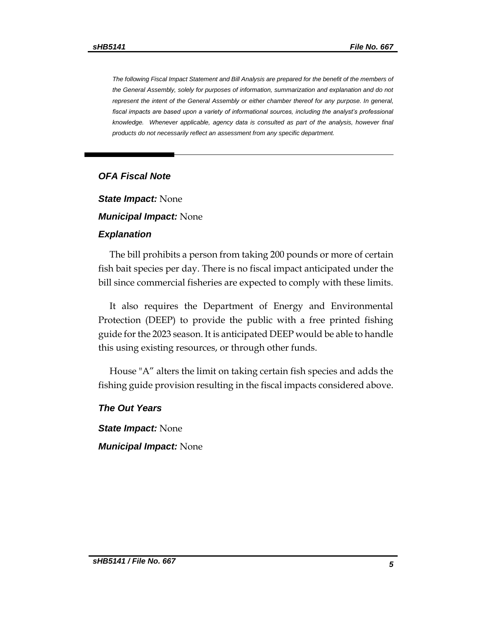*The following Fiscal Impact Statement and Bill Analysis are prepared for the benefit of the members of the General Assembly, solely for purposes of information, summarization and explanation and do not represent the intent of the General Assembly or either chamber thereof for any purpose. In general,*  fiscal impacts are based upon a variety of informational sources, including the analyst's professional *knowledge. Whenever applicable, agency data is consulted as part of the analysis, however final products do not necessarily reflect an assessment from any specific department.*

#### *OFA Fiscal Note*

*State Impact:* None

*Municipal Impact:* None

#### *Explanation*

The bill prohibits a person from taking 200 pounds or more of certain fish bait species per day. There is no fiscal impact anticipated under the bill since commercial fisheries are expected to comply with these limits.

It also requires the Department of Energy and Environmental Protection (DEEP) to provide the public with a free printed fishing guide for the 2023 season. It is anticipated DEEP would be able to handle this using existing resources, or through other funds.

House "A" alters the limit on taking certain fish species and adds the fishing guide provision resulting in the fiscal impacts considered above.

#### *The Out Years*

*State Impact:* None *Municipal Impact:* None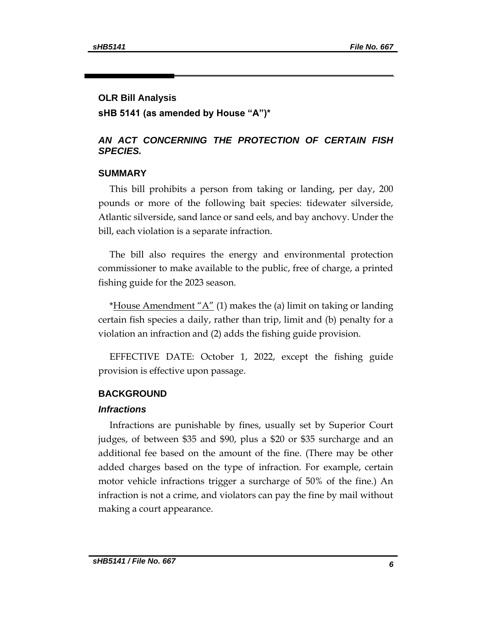#### **OLR Bill Analysis**

**sHB 5141 (as amended by House "A")\***

## *AN ACT CONCERNING THE PROTECTION OF CERTAIN FISH SPECIES.*

#### **SUMMARY**

This bill prohibits a person from taking or landing, per day, 200 pounds or more of the following bait species: tidewater silverside, Atlantic silverside, sand lance or sand eels, and bay anchovy. Under the bill, each violation is a separate infraction.

The bill also requires the energy and environmental protection commissioner to make available to the public, free of charge, a printed fishing guide for the 2023 season.

\*House Amendment " $A$ " (1) makes the (a) limit on taking or landing certain fish species a daily, rather than trip, limit and (b) penalty for a violation an infraction and (2) adds the fishing guide provision.

EFFECTIVE DATE: October 1, 2022, except the fishing guide provision is effective upon passage.

## **BACKGROUND**

#### *Infractions*

Infractions are punishable by fines, usually set by Superior Court judges, of between \$35 and \$90, plus a \$20 or \$35 surcharge and an additional fee based on the amount of the fine. (There may be other added charges based on the type of infraction. For example, certain motor vehicle infractions trigger a surcharge of 50% of the fine.) An infraction is not a crime, and violators can pay the fine by mail without making a court appearance.